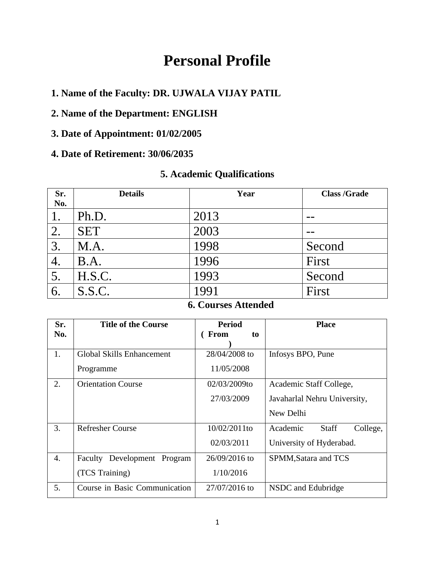# **Personal Profile**

**1. Name of the Faculty: DR. UJWALA VIJAY PATIL**

### **2. Name of the Department: ENGLISH**

# **3. Date of Appointment: 01/02/2005**

### **4. Date of Retirement: 30/06/2035**

### **5. Academic Qualifications**

| Sr.<br>No. | <b>Details</b> | Year | <b>Class /Grade</b> |
|------------|----------------|------|---------------------|
|            | Ph.D.          | 2013 |                     |
| 2.         | <b>SET</b>     | 2003 |                     |
| 3.         | M.A.           | 1998 | Second              |
| 4.         | B.A.           | 1996 | First               |
|            | H.S.C.         | 1993 | Second              |
| 6.         | S.S.C.         |      | First               |

# **6. Courses Attended**

| Sr.              | <b>Title of the Course</b>       | <b>Period</b>     | <b>Place</b>                         |
|------------------|----------------------------------|-------------------|--------------------------------------|
| No.              |                                  | <b>From</b><br>to |                                      |
|                  |                                  |                   |                                      |
| 1.               | <b>Global Skills Enhancement</b> | 28/04/2008 to     | Infosys BPO, Pune                    |
|                  | Programme                        | 11/05/2008        |                                      |
| 2.               | <b>Orientation Course</b>        | 02/03/2009to      | Academic Staff College,              |
|                  |                                  | 27/03/2009        | Javaharlal Nehru University,         |
|                  |                                  |                   | New Delhi                            |
| 3.               | <b>Refresher Course</b>          | 10/02/2011to      | Academic<br><b>Staff</b><br>College, |
|                  |                                  | 02/03/2011        | University of Hyderabad.             |
| $\overline{4}$ . | Faculty Development Program      | $26/09/2016$ to   | SPMM, Satara and TCS                 |
|                  | (TCS Training)                   | 1/10/2016         |                                      |
| 5.               | Course in Basic Communication    | 27/07/2016 to     | NSDC and Edubridge                   |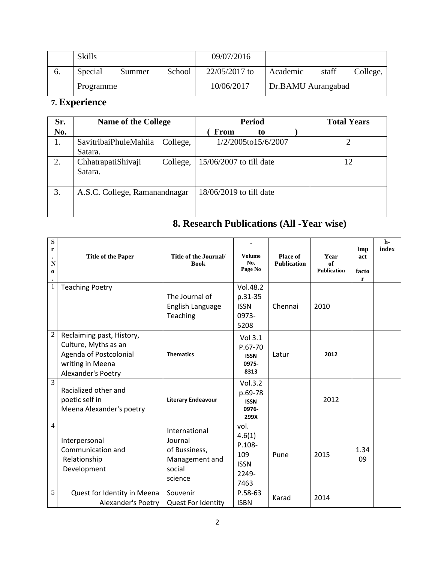|    | <b>Skills</b> |        |        | 09/07/2016    |                    |       |          |
|----|---------------|--------|--------|---------------|--------------------|-------|----------|
| O. | Special       | Summer | School | 22/05/2017 to | Academic           | staff | College, |
|    | Programme     |        |        | 10/06/2017    | Dr.BAMU Aurangabad |       |          |

# **7. Experience**

| Sr. | <b>Name of the College</b>       |          |                         | <b>Period</b>       | <b>Total Years</b> |    |
|-----|----------------------------------|----------|-------------------------|---------------------|--------------------|----|
| No. |                                  |          | <b>From</b>             | to                  |                    |    |
| 1.  | SavitribaiPhuleMahila<br>Satara. | College, |                         | 1/2/2005to15/6/2007 |                    | っ  |
| 2.  | ChhatrapatiShivaji<br>Satara.    | College, | 15/06/2007 to till date |                     |                    | 12 |
| 3.  | A.S.C. College, Ramanandnagar    |          | 18/06/2019 to till date |                     |                    |    |

# **8. Research Publications (All -Year wise)**

| S<br>r<br>N<br>$\bf{0}$ | <b>Title of the Paper</b>                                                                                             | Title of the Journal/<br><b>Book</b>                                             | Volume<br>No.<br>Page No                                        | Place of<br><b>Publication</b> | Year<br>of<br><b>Publication</b> | Imp<br>act<br>facto<br>r | h-<br>index |
|-------------------------|-----------------------------------------------------------------------------------------------------------------------|----------------------------------------------------------------------------------|-----------------------------------------------------------------|--------------------------------|----------------------------------|--------------------------|-------------|
| $\mathbf{1}$            | <b>Teaching Poetry</b>                                                                                                | The Journal of<br>English Language<br>Teaching                                   | Vol.48.2<br>p.31-35<br><b>ISSN</b><br>0973-<br>5208             | Chennai                        | 2010                             |                          |             |
| $\overline{2}$          | Reclaiming past, History,<br>Culture, Myths as an<br>Agenda of Postcolonial<br>writing in Meena<br>Alexander's Poetry | <b>Thematics</b>                                                                 | Vol 3.1<br>P.67-70<br><b>ISSN</b><br>0975-<br>8313              | Latur                          | 2012                             |                          |             |
| $\overline{3}$          | Racialized other and<br>poetic self in<br>Meena Alexander's poetry                                                    | <b>Literary Endeavour</b>                                                        | Vol.3.2<br>p.69-78<br><b>ISSN</b><br>0976-<br>299X              |                                | 2012                             |                          |             |
| $\overline{4}$          | Interpersonal<br>Communication and<br>Relationship<br>Development                                                     | International<br>Journal<br>of Bussiness,<br>Management and<br>social<br>science | vol.<br>4.6(1)<br>P.108-<br>109<br><b>ISSN</b><br>2249-<br>7463 | Pune                           | 2015                             | 1.34<br>09               |             |
| 5                       | Quest for Identity in Meena<br>Alexander's Poetry                                                                     | Souvenir<br><b>Quest For Identity</b>                                            | P.58-63<br><b>ISBN</b>                                          | Karad                          | 2014                             |                          |             |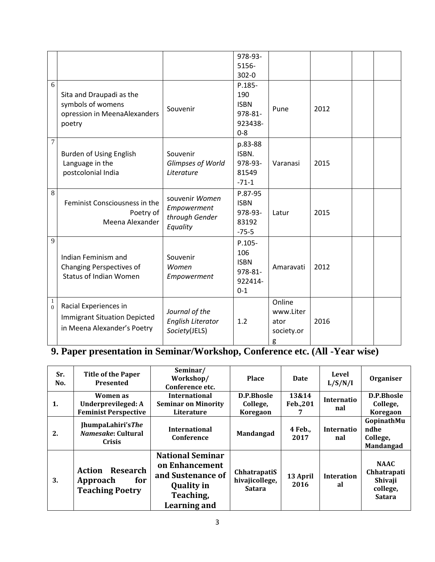|                |                                     |                          | 978-93-     |            |      |  |
|----------------|-------------------------------------|--------------------------|-------------|------------|------|--|
|                |                                     |                          | 5156-       |            |      |  |
|                |                                     |                          | $302 - 0$   |            |      |  |
| 6              |                                     |                          | $P.185-$    |            |      |  |
|                | Sita and Draupadi as the            |                          | 190         |            |      |  |
|                | symbols of womens                   |                          | <b>ISBN</b> |            |      |  |
|                | opression in MeenaAlexanders        | Souvenir                 | 978-81-     | Pune       | 2012 |  |
|                | poetry                              |                          | 923438-     |            |      |  |
|                |                                     |                          | $0 - 8$     |            |      |  |
| 7              |                                     |                          | p.83-88     |            |      |  |
|                | Burden of Using English             | Souvenir                 | ISBN.       |            |      |  |
|                | Language in the                     | Glimpses of World        | 978-93-     | Varanasi   | 2015 |  |
|                | postcolonial India                  | Literature               | 81549       |            |      |  |
|                |                                     |                          | $-71-1$     |            |      |  |
| 8              |                                     |                          | P.87-95     |            |      |  |
|                | Feminist Consciousness in the       | souvenir Women           | <b>ISBN</b> |            |      |  |
|                | Poetry of                           | Empowerment              | 978-93-     | Latur      | 2015 |  |
|                | Meena Alexander                     | through Gender           | 83192       |            |      |  |
|                |                                     | Equality                 | $-75-5$     |            |      |  |
| 9              |                                     |                          | $P.105 -$   |            |      |  |
|                |                                     |                          | 106         |            |      |  |
|                | Indian Feminism and                 | Souvenir                 | <b>ISBN</b> |            |      |  |
|                | <b>Changing Perspectives of</b>     | Women                    | 978-81-     | Amaravati  | 2012 |  |
|                | <b>Status of Indian Women</b>       | Empowerment              | 922414-     |            |      |  |
|                |                                     |                          | $0 - 1$     |            |      |  |
| $\mathbf{1}$   |                                     |                          |             | Online     |      |  |
| $\overline{0}$ | Racial Experiences in               | Journal of the           |             | www.Liter  |      |  |
|                | <b>Immigrant Situation Depicted</b> | <b>English Literator</b> | 1.2         | ator       | 2016 |  |
|                | in Meena Alexander's Poetry         | Society(JELS)            |             | society.or |      |  |
|                |                                     |                          |             | g          |      |  |

#### **9. Paper presentation in Seminar/Workshop, Conference etc. (All -Year wise)**

| Sr.<br>No. | <b>Title of the Paper</b><br><b>Presented</b>                       | Seminar/<br>Workshop/<br>Conference etc.                                                                         | <b>Place</b>                                    | <b>Date</b>       | Level<br>L/S/N/I         | Organiser                                                          |
|------------|---------------------------------------------------------------------|------------------------------------------------------------------------------------------------------------------|-------------------------------------------------|-------------------|--------------------------|--------------------------------------------------------------------|
| 1.         | Women as<br>Underprevileged: A<br><b>Feminist Perspective</b>       | <b>International</b><br><b>Seminar on Minority</b><br>Literature                                                 | <b>D.P.Bhosle</b><br>College,<br>Koregaon       | 13&14<br>Feb.,201 | <b>Internatio</b><br>nal | D.P.Bhosle<br>College,<br>Koregaon                                 |
| 2.         | JhumpaLahiri'sThe<br><i>Namesake:</i> Cultural<br><b>Crisis</b>     | <b>International</b><br>Conference                                                                               | Mandangad                                       | 4 Feb.,<br>2017   | <b>Internatio</b><br>nal | GopinathMu<br>ndhe<br>College,<br>Mandangad                        |
| 3.         | <b>Action Research</b><br>for<br>Approach<br><b>Teaching Poetry</b> | <b>National Seminar</b><br>on Enhancement<br>and Sustenance of<br><b>Quality in</b><br>Teaching,<br>Learning and | ChhatrapatiS<br>hivajicollege,<br><b>Satara</b> | 13 April<br>2016  | <b>Interation</b><br>al  | <b>NAAC</b><br>Chhatrapati<br>Shivaji<br>college,<br><b>Satara</b> |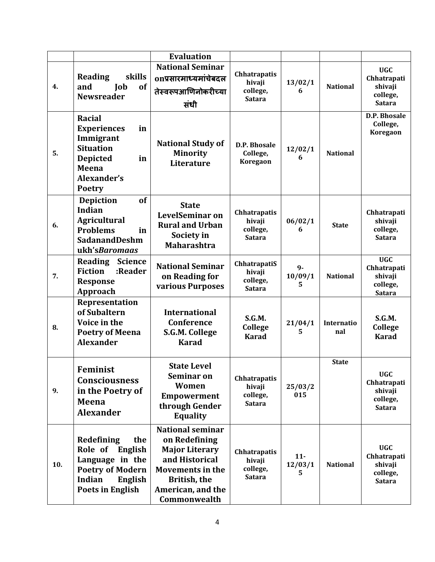|     |                                                                                                                                                     | <b>Evaluation</b>                                                                                                                                                   |                                                     |                        |                   |                                                                   |
|-----|-----------------------------------------------------------------------------------------------------------------------------------------------------|---------------------------------------------------------------------------------------------------------------------------------------------------------------------|-----------------------------------------------------|------------------------|-------------------|-------------------------------------------------------------------|
| 4.  | skills<br><b>Reading</b><br>and<br>Job<br>of<br><b>Newsreader</b>                                                                                   | <b>National Seminar</b><br>onप्रसारमाध्यमांचेबदल<br>तेस्वरूपआणिनोकरीच्या<br>संधी                                                                                    | Chhatrapatis<br>hivaji<br>college,<br><b>Satara</b> | 13/02/1<br>6           | <b>National</b>   | <b>UGC</b><br>Chhatrapati<br>shivaji<br>college,<br><b>Satara</b> |
| 5.  | <b>Racial</b><br><b>Experiences</b><br>in<br>Immigrant<br><b>Situation</b><br><b>Depicted</b><br>in<br><b>Meena</b><br>Alexander's<br><b>Poetry</b> | <b>National Study of</b><br><b>Minority</b><br>Literature                                                                                                           | D.P. Bhosale<br>College,<br>Koregaon                | 12/02/1<br>6           | <b>National</b>   | D.P. Bhosale<br>College,<br>Koregaon                              |
| 6.  | of<br><b>Depiction</b><br><b>Indian</b><br><b>Agricultural</b><br><b>Problems</b><br>in<br><b>SadanandDeshm</b><br>ukh'sBaromaas                    | <b>State</b><br>LevelSeminar on<br><b>Rural and Urban</b><br>Society in<br><b>Maharashtra</b>                                                                       | Chhatrapatis<br>hivaji<br>college,<br><b>Satara</b> | 06/02/1<br>6           | <b>State</b>      | Chhatrapati<br>shivaji<br>college,<br><b>Satara</b>               |
| 7.  | <b>Reading</b><br><b>Science</b><br><b>Fiction</b><br>:Reader<br><b>Response</b><br>Approach                                                        | <b>National Seminar</b><br>on Reading for<br>various Purposes                                                                                                       | ChhatrapatiS<br>hivaji<br>college,<br><b>Satara</b> | 9-<br>10/09/1<br>5.    | <b>National</b>   | <b>UGC</b><br>Chhatrapati<br>shivaji<br>college,<br><b>Satara</b> |
| 8.  | Representation<br>of Subaltern<br>Voice in the<br><b>Poetry of Meena</b><br><b>Alexander</b>                                                        | <b>International</b><br><b>Conference</b><br>S.G.M. College<br><b>Karad</b>                                                                                         | S.G.M.<br><b>College</b><br><b>Karad</b>            | 21/04/1<br>5.          | Internatio<br>nal | S.G.M.<br><b>College</b><br><b>Karad</b>                          |
| 9.  | Feminist<br><b>Consciousness</b><br>in the Poetry of<br>Meena<br><b>Alexander</b>                                                                   | <b>State Level</b><br>Seminar on<br>Women<br><b>Empowerment</b><br>through Gender<br><b>Equality</b>                                                                | Chhatrapatis<br>hivaji<br>college,<br><b>Satara</b> | 25/03/2<br>015         | <b>State</b>      | <b>UGC</b><br>Chhatrapati<br>shivaji<br>college,<br><b>Satara</b> |
| 10. | <b>Redefining</b><br>the<br>Role of<br>English<br>Language in the<br><b>Poetry of Modern</b><br><b>Indian</b><br>English<br><b>Poets in English</b> | <b>National seminar</b><br>on Redefining<br><b>Major Literary</b><br>and Historical<br><b>Movements in the</b><br>British, the<br>American, and the<br>Commonwealth | Chhatrapatis<br>hivaji<br>college,<br><b>Satara</b> | $11-$<br>12/03/1<br>5. | <b>National</b>   | <b>UGC</b><br>Chhatrapati<br>shivaji<br>college,<br><b>Satara</b> |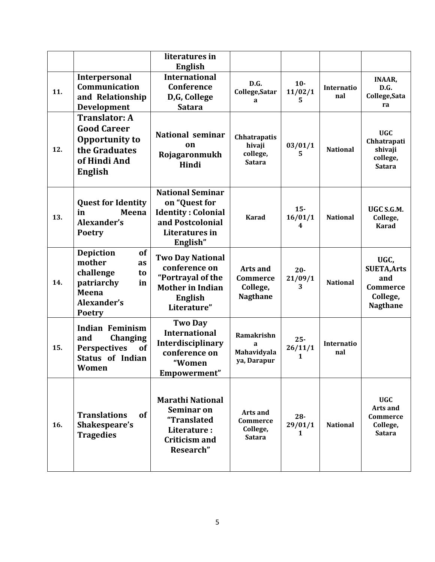|     |                                                                                                                        | literatures in<br><b>English</b>                                                                                          |                                                            |                        |                          |                                                                                     |
|-----|------------------------------------------------------------------------------------------------------------------------|---------------------------------------------------------------------------------------------------------------------------|------------------------------------------------------------|------------------------|--------------------------|-------------------------------------------------------------------------------------|
| 11. | Interpersonal<br>Communication<br>and Relationship<br>Development                                                      | <b>International</b><br>Conference<br>D,G, College<br><b>Satara</b>                                                       | D.G.<br>College, Satar<br>a                                | $10-$<br>11/02/1<br>5. | Internatio<br>nal        | <b>INAAR,</b><br>D.G.<br>College, Sata<br>ra                                        |
| 12. | <b>Translator: A</b><br><b>Good Career</b><br>Opportunity to<br>the Graduates<br>of Hindi And<br><b>English</b>        | <b>National seminar</b><br>on<br>Rojagaronmukh<br>Hindi                                                                   | <b>Chhatrapatis</b><br>hivaji<br>college,<br><b>Satara</b> | 03/01/1<br>5.          | <b>National</b>          | <b>UGC</b><br>Chhatrapati<br>shivaji<br>college,<br><b>Satara</b>                   |
| 13. | <b>Quest for Identity</b><br>Meena<br>in<br>Alexander's<br><b>Poetry</b>                                               | <b>National Seminar</b><br>on "Quest for<br><b>Identity: Colonial</b><br>and Postcolonial<br>Literatures in<br>English"   | <b>Karad</b>                                               | $15-$<br>16/01/1<br>4  | <b>National</b>          | UGC S.G.M.<br>College,<br><b>Karad</b>                                              |
| 14. | <b>Depiction</b><br>of<br>mother<br>as<br>challenge<br>to<br>patriarchy<br>in<br>Meena<br>Alexander's<br><b>Poetry</b> | <b>Two Day National</b><br>conference on<br>"Portrayal of the<br><b>Mother in Indian</b><br><b>English</b><br>Literature" | <b>Arts and</b><br>Commerce<br>College,<br><b>Nagthane</b> | $20-$<br>21/09/1<br>3  | <b>National</b>          | UGC,<br><b>SUETA, Arts</b><br>and<br><b>Commerce</b><br>College,<br><b>Nagthane</b> |
| 15. | <b>Indian Feminism</b><br>and<br><b>Changing</b><br>of<br><b>Perspectives</b><br><b>Status of Indian</b><br>Women      | <b>Two Day</b><br><b>International</b><br>Interdisciplinary<br>conference on<br>"Women<br>Empowerment"                    | <b>Ramakrishn</b><br>a<br>Mahavidyala<br>ya, Darapur       | $25 -$<br>26/11/1<br>1 | <b>Internatio</b><br>nal |                                                                                     |
| 16. | <b>Translations</b><br>of<br>Shakespeare's<br><b>Tragedies</b>                                                         | <b>Marathi National</b><br><b>Seminar on</b><br>"Translated<br>Literature:<br><b>Criticism and</b><br>Research"           | Arts and<br>Commerce<br>College,<br><b>Satara</b>          | $28 -$<br>29/01/1<br>1 | <b>National</b>          | <b>UGC</b><br>Arts and<br>Commerce<br>College,<br><b>Satara</b>                     |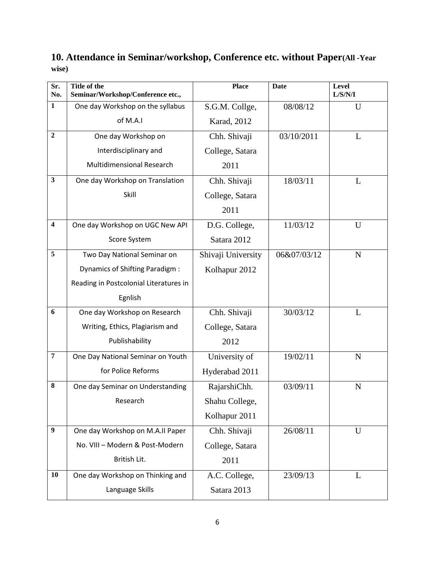# **10. Attendance in Seminar/workshop, Conference etc. without Paper(All -Year wise)**

| Sr.<br>No.              | Title of the<br>Seminar/Workshop/Conference etc., | <b>Place</b>       | <b>Date</b> | <b>Level</b><br>${\rm L/S/N/I}$ |
|-------------------------|---------------------------------------------------|--------------------|-------------|---------------------------------|
| $\mathbf{1}$            | One day Workshop on the syllabus                  | S.G.M. Collge,     | 08/08/12    | U                               |
|                         | of M.A.I                                          | Karad, 2012        |             |                                 |
| $\overline{2}$          | One day Workshop on                               | Chh. Shivaji       | 03/10/2011  | L                               |
|                         | Interdisciplinary and                             | College, Satara    |             |                                 |
|                         | <b>Multidimensional Research</b>                  | 2011               |             |                                 |
| $\mathbf{3}$            | One day Workshop on Translation                   | Chh. Shivaji       | 18/03/11    | L                               |
|                         | Skill                                             | College, Satara    |             |                                 |
|                         |                                                   | 2011               |             |                                 |
| $\overline{\mathbf{4}}$ | One day Workshop on UGC New API                   | D.G. College,      | 11/03/12    | U                               |
|                         | Score System                                      | Satara 2012        |             |                                 |
| 5                       | Two Day National Seminar on                       | Shivaji University | 06&07/03/12 | $\mathbf N$                     |
|                         | Dynamics of Shifting Paradigm :                   | Kolhapur 2012      |             |                                 |
|                         | Reading in Postcolonial Literatures in            |                    |             |                                 |
|                         | Egnlish                                           |                    |             |                                 |
| 6                       | One day Workshop on Research                      | Chh. Shivaji       | 30/03/12    | L                               |
|                         | Writing, Ethics, Plagiarism and                   | College, Satara    |             |                                 |
|                         | Publishability                                    | 2012               |             |                                 |
| $\overline{7}$          | One Day National Seminar on Youth                 | University of      | 19/02/11    | N                               |
|                         | for Police Reforms                                | Hyderabad 2011     |             |                                 |
| 8                       | One day Seminar on Understanding                  | RajarshiChh.       | 03/09/11    | N                               |
|                         | Research                                          | Shahu College,     |             |                                 |
|                         |                                                   | Kolhapur 2011      |             |                                 |
| $\boldsymbol{9}$        | One day Workshop on M.A.II Paper                  | Chh. Shivaji       | 26/08/11    | U                               |
|                         | No. VIII - Modern & Post-Modern                   | College, Satara    |             |                                 |
|                         | British Lit.                                      | 2011               |             |                                 |
| 10                      | One day Workshop on Thinking and                  | A.C. College,      | 23/09/13    | L                               |
|                         | Language Skills                                   | Satara 2013        |             |                                 |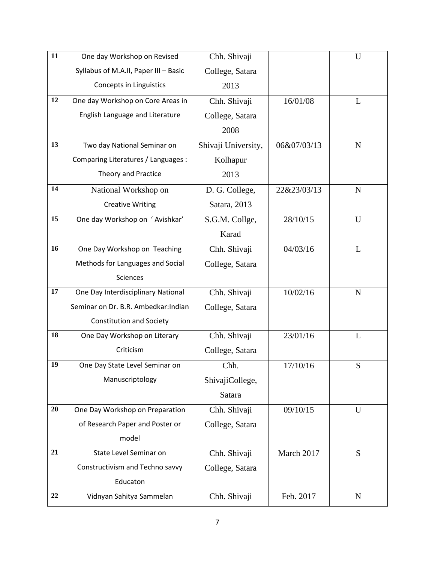| $\overline{11}$ | One day Workshop on Revised           | Chh. Shivaji        |             | $\mathbf U$ |
|-----------------|---------------------------------------|---------------------|-------------|-------------|
|                 | Syllabus of M.A.II, Paper III - Basic | College, Satara     |             |             |
|                 | Concepts in Linguistics               | 2013                |             |             |
| 12              | One day Workshop on Core Areas in     | Chh. Shivaji        | 16/01/08    | L           |
|                 | English Language and Literature       | College, Satara     |             |             |
|                 |                                       | 2008                |             |             |
| 13              | Two day National Seminar on           | Shivaji University, | 06&07/03/13 | $\mathbf N$ |
|                 | Comparing Literatures / Languages :   | Kolhapur            |             |             |
|                 | Theory and Practice                   | 2013                |             |             |
| 14              | National Workshop on                  | D. G. College,      | 22&23/03/13 | $\mathbf N$ |
|                 | <b>Creative Writing</b>               | Satara, 2013        |             |             |
| 15              | One day Workshop on 'Avishkar'        | S.G.M. Collge,      | 28/10/15    | U           |
|                 |                                       | Karad               |             |             |
| 16              | One Day Workshop on Teaching          | Chh. Shivaji        | 04/03/16    | L           |
|                 | Methods for Languages and Social      | College, Satara     |             |             |
|                 | <b>Sciences</b>                       |                     |             |             |
| 17              | One Day Interdisciplinary National    | Chh. Shivaji        | 10/02/16    | $\mathbf N$ |
|                 | Seminar on Dr. B.R. Ambedkar: Indian  | College, Satara     |             |             |
|                 | <b>Constitution and Society</b>       |                     |             |             |
| 18              | One Day Workshop on Literary          | Chh. Shivaji        | 23/01/16    | L           |
|                 | Criticism                             | College, Satara     |             |             |
| 19              | One Day State Level Seminar on        | Chh.                | 17/10/16    | S           |
|                 | Manuscriptology                       | ShivajiCollege,     |             |             |
|                 |                                       | Satara              |             |             |
| 20              | One Day Workshop on Preparation       | Chh. Shivaji        | 09/10/15    | U           |
|                 | of Research Paper and Poster or       | College, Satara     |             |             |
|                 | model                                 |                     |             |             |
| 21              | State Level Seminar on                | Chh. Shivaji        | March 2017  | S           |
|                 | Constructivism and Techno savvy       | College, Satara     |             |             |
|                 | Educaton                              |                     |             |             |
| 22              | Vidnyan Sahitya Sammelan              | Chh. Shivaji        | Feb. 2017   | N           |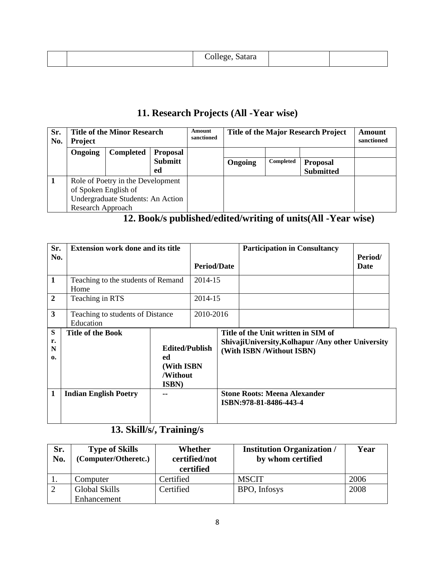|  | $\rightarrow$<br>College, Satara<br>$_{\rm \sim our}$ |  |  |
|--|-------------------------------------------------------|--|--|
|--|-------------------------------------------------------|--|--|

# **11. Research Projects (All -Year wise)**

| Sr.<br>No. | <b>Title of the Minor Research</b><br><b>Project</b> |                  | Amount<br>sanctioned | <b>Title of the Major Research Project</b> |         |           | Amount<br>sanctioned |  |
|------------|------------------------------------------------------|------------------|----------------------|--------------------------------------------|---------|-----------|----------------------|--|
|            | Ongoing                                              | <b>Completed</b> | <b>Proposal</b>      |                                            |         |           |                      |  |
|            |                                                      |                  | <b>Submitt</b>       |                                            | Ongoing | Completed | <b>Proposal</b>      |  |
|            |                                                      |                  | ed                   |                                            |         |           | <b>Submitted</b>     |  |
|            | Role of Poetry in the Development                    |                  |                      |                                            |         |           |                      |  |
|            | of Spoken English of                                 |                  |                      |                                            |         |           |                      |  |
|            | Undergraduate Students: An Action                    |                  |                      |                                            |         |           |                      |  |
|            | Research Approach                                    |                  |                      |                                            |         |           |                      |  |

# **12. Book/s published/edited/writing of units(All -Year wise)**

| Sr.<br>No.                   | <b>Extension work done and its title</b>      | <b>Period/Date</b>                                                     |  | <b>Participation in Consultancy</b>                                                                                   | Period/<br>Date                                               |  |
|------------------------------|-----------------------------------------------|------------------------------------------------------------------------|--|-----------------------------------------------------------------------------------------------------------------------|---------------------------------------------------------------|--|
| 1                            | Teaching to the students of Remand<br>Home    | 2014-15                                                                |  |                                                                                                                       |                                                               |  |
| $\overline{2}$               | Teaching in RTS                               | 2014-15                                                                |  |                                                                                                                       |                                                               |  |
| $\mathbf{3}$                 | Teaching to students of Distance<br>Education | 2010-2016                                                              |  |                                                                                                                       |                                                               |  |
| S<br>r.<br>N<br>$\mathbf{0}$ | <b>Title of the Book</b>                      | <b>Edited/Publish</b><br>ed<br>(With ISBN<br>/Without<br><b>ISBN</b> ) |  | Title of the Unit written in SIM of<br>ShivajiUniversity, Kolhapur /Any other University<br>(With ISBN /Without ISBN) |                                                               |  |
| 1                            | <b>Indian English Poetry</b>                  |                                                                        |  |                                                                                                                       | <b>Stone Roots: Meena Alexander</b><br>ISBN:978-81-8486-443-4 |  |

# **13. Skill/s/, Training/s**

| Sr.<br>No. | <b>Type of Skills</b><br>(Computer/Otheretc.) | Whether<br>certified/not<br>certified | <b>Institution Organization</b> /<br>by whom certified | Year |
|------------|-----------------------------------------------|---------------------------------------|--------------------------------------------------------|------|
|            | Computer                                      | Certified                             | <b>MSCIT</b>                                           | 2006 |
|            | <b>Global Skills</b>                          | Certified                             | BPO, Infosys                                           | 2008 |
|            | Enhancement                                   |                                       |                                                        |      |